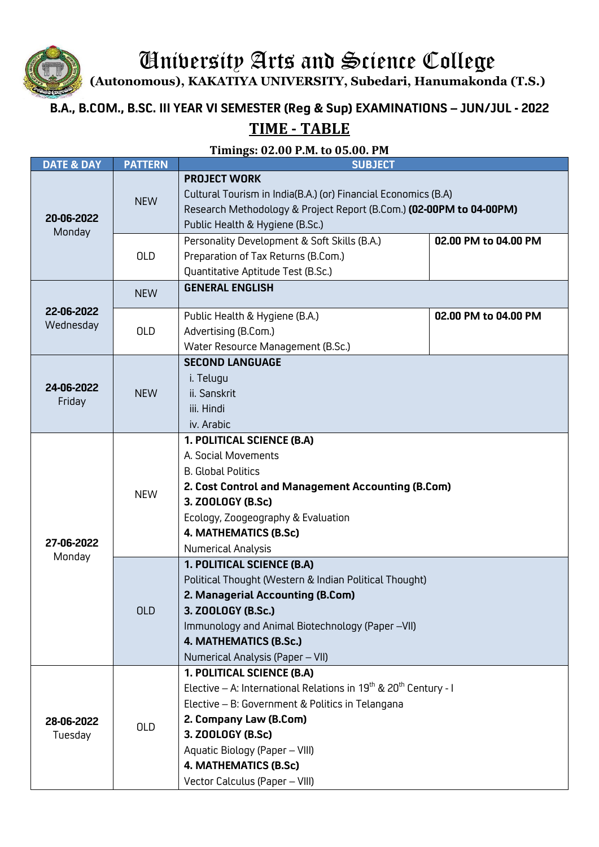University Arts and Science College

**(Autonomous), KAKATIYA UNIVERSITY, Subedari, Hanumakonda (T.S.)**

## **B.A., B.COM., B.SC. III YEAR VI SEMESTER (Reg & Sup) EXAMINATIONS – JUN/JUL - 2022**

## **TIME - TABLE**

**Timings: 02.00 P.M. to 05.00. PM**

| <b>DATE &amp; DAY</b>   | <b>PATTERN</b> | <b>SUBJECT</b>                                                                                                                                                                                                                                                                                           |                      |
|-------------------------|----------------|----------------------------------------------------------------------------------------------------------------------------------------------------------------------------------------------------------------------------------------------------------------------------------------------------------|----------------------|
| 20-06-2022<br>Monday    | <b>NEW</b>     | <b>PROJECT WORK</b><br>Cultural Tourism in India(B.A.) (or) Financial Economics (B.A)<br>Research Methodology & Project Report (B.Com.) (02-00PM to 04-00PM)<br>Public Health & Hygiene (B.Sc.)                                                                                                          |                      |
|                         | <b>OLD</b>     | Personality Development & Soft Skills (B.A.)<br>Preparation of Tax Returns (B.Com.)<br>Quantitative Aptitude Test (B.Sc.)                                                                                                                                                                                | 02.00 PM to 04.00 PM |
| 22-06-2022<br>Wednesday | <b>NEW</b>     | <b>GENERAL ENGLISH</b>                                                                                                                                                                                                                                                                                   |                      |
|                         | <b>OLD</b>     | Public Health & Hygiene (B.A.)<br>Advertising (B.Com.)<br>Water Resource Management (B.Sc.)                                                                                                                                                                                                              | 02.00 PM to 04.00 PM |
| 24-06-2022<br>Friday    | <b>NEW</b>     | <b>SECOND LANGUAGE</b><br>i. Telugu<br>ii. Sanskrit<br>iii. Hindi<br>iv. Arabic                                                                                                                                                                                                                          |                      |
| 27-06-2022<br>Monday    | <b>NEW</b>     | 1. POLITICAL SCIENCE (B.A)<br>A. Social Movements<br><b>B. Global Politics</b><br>2. Cost Control and Management Accounting (B.Com)<br>3. ZOOLOGY (B.Sc)<br>Ecology, Zoogeography & Evaluation<br>4. MATHEMATICS (B.Sc)<br>Numerical Analysis                                                            |                      |
|                         | <b>OLD</b>     | 1. POLITICAL SCIENCE (B.A)<br>Political Thought (Western & Indian Political Thought)<br>2. Managerial Accounting (B.Com)<br>3. ZOOLOGY (B.Sc.)<br>Immunology and Animal Biotechnology (Paper -VII)<br>4. MATHEMATICS (B.Sc.)<br>Numerical Analysis (Paper - VII)                                         |                      |
| 28-06-2022<br>Tuesday   | <b>OLD</b>     | 1. POLITICAL SCIENCE (B.A)<br>Elective – A: International Relations in $19^{th}$ & $20^{th}$ Century - I<br>Elective - B: Government & Politics in Telangana<br>2. Company Law (B.Com)<br>3. ZOOLOGY (B.Sc)<br>Aquatic Biology (Paper - VIII)<br>4. MATHEMATICS (B.Sc)<br>Vector Calculus (Paper - VIII) |                      |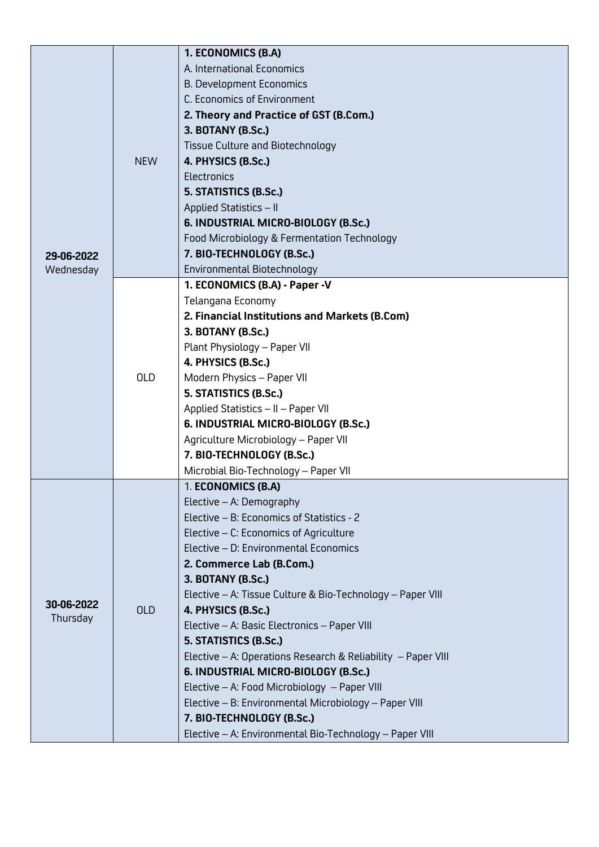|            |            | 1. ECONOMICS (B.A)                                           |
|------------|------------|--------------------------------------------------------------|
|            |            | A. International Economics                                   |
|            |            | <b>B. Development Economics</b>                              |
|            |            | C. Economics of Environment                                  |
|            | <b>NEW</b> | 2. Theory and Practice of GST (B.Com.)                       |
|            |            | 3. BOTANY (B.Sc.)                                            |
|            |            | Tissue Culture and Biotechnology                             |
|            |            | 4. PHYSICS (B.Sc.)                                           |
|            |            | Electronics                                                  |
|            |            | 5. STATISTICS (B.Sc.)                                        |
|            |            | Applied Statistics - II                                      |
|            |            | 6. INDUSTRIAL MICRO-BIOLOGY (B.Sc.)                          |
|            |            | Food Microbiology & Fermentation Technology                  |
| 29-06-2022 |            | 7. BIO-TECHNOLOGY (B.Sc.)                                    |
| Wednesday  |            | Environmental Biotechnology                                  |
|            |            | 1. ECONOMICS (B.A) - Paper -V                                |
|            |            | Telangana Economy                                            |
|            |            | 2. Financial Institutions and Markets (B.Com)                |
|            |            | 3. BOTANY (B.Sc.)                                            |
|            |            | Plant Physiology - Paper VII                                 |
|            |            | 4. PHYSICS (B.Sc.)                                           |
|            | <b>OLD</b> | Modern Physics - Paper VII                                   |
|            |            | 5. STATISTICS (B.Sc.)                                        |
|            |            | Applied Statistics - II - Paper VII                          |
|            |            | 6. INDUSTRIAL MICRO-BIOLOGY (B.Sc.)                          |
|            |            | Agriculture Microbiology - Paper VII                         |
|            |            | 7. BIO-TECHNOLOGY (B.Sc.)                                    |
|            |            | Microbial Bio-Technology - Paper VII                         |
|            | <b>OLD</b> | 1. ECONOMICS (B.A)                                           |
|            |            | Elective - A: Demography                                     |
|            |            | Elective - B: Economics of Statistics - 2                    |
|            |            | Elective - C: Economics of Agriculture                       |
|            |            | Elective - D: Environmental Economics                        |
|            |            | 2. Commerce Lab (B.Com.)                                     |
|            |            | 3. BOTANY (B.Sc.)                                            |
| 30-06-2022 |            | Elective - A: Tissue Culture & Bio-Technology - Paper VIII   |
| Thursday   |            | 4. PHYSICS (B.Sc.)                                           |
|            |            | Elective - A: Basic Electronics - Paper VIII                 |
|            |            | 5. STATISTICS (B.Sc.)                                        |
|            |            | Elective - A: Operations Research & Reliability - Paper VIII |
|            |            | 6. INDUSTRIAL MICRO-BIOLOGY (B.Sc.)                          |
|            |            | Elective - A: Food Microbiology - Paper VIII                 |
|            |            | Elective - B: Environmental Microbiology - Paper VIII        |
|            |            | 7. BIO-TECHNOLOGY (B.Sc.)                                    |
|            |            | Elective - A: Environmental Bio-Technology - Paper VIII      |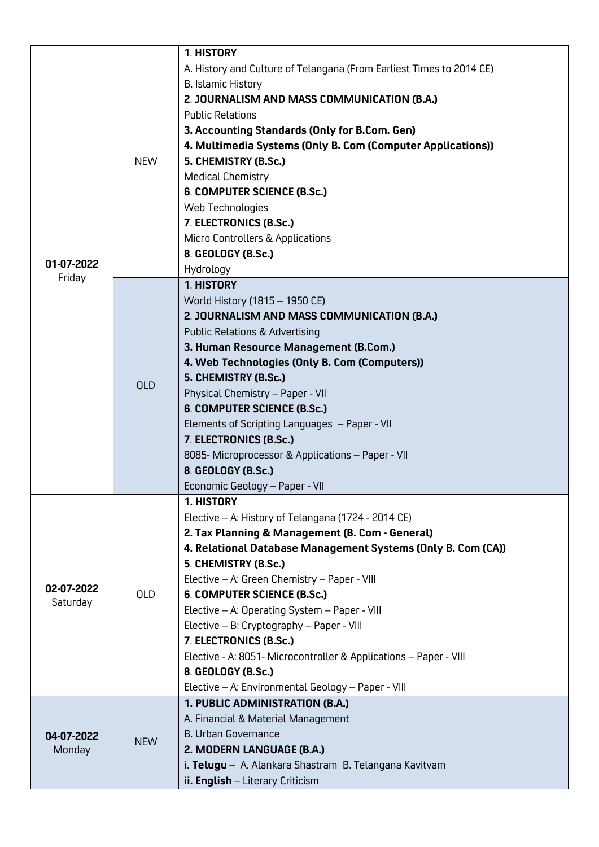| 01-07-2022             | <b>NEW</b> | 1. HISTORY<br>A. History and Culture of Telangana (From Earliest Times to 2014 CE)<br>B. Islamic History<br>2. JOURNALISM AND MASS COMMUNICATION (B.A.)<br><b>Public Relations</b><br>3. Accounting Standards (Only for B.Com. Gen)<br>4. Multimedia Systems (Only B. Com (Computer Applications))<br>5. CHEMISTRY (B.Sc.)<br><b>Medical Chemistry</b><br>6. COMPUTER SCIENCE (B.Sc.)<br>Web Technologies<br>7. ELECTRONICS (B.Sc.)                                                                                                                                  |
|------------------------|------------|----------------------------------------------------------------------------------------------------------------------------------------------------------------------------------------------------------------------------------------------------------------------------------------------------------------------------------------------------------------------------------------------------------------------------------------------------------------------------------------------------------------------------------------------------------------------|
|                        |            | Micro Controllers & Applications<br>8. GEOLOGY (B.Sc.)<br>Hydrology                                                                                                                                                                                                                                                                                                                                                                                                                                                                                                  |
| Friday                 |            | 1. HISTORY                                                                                                                                                                                                                                                                                                                                                                                                                                                                                                                                                           |
|                        | <b>OLD</b> | World History (1815 - 1950 CE)<br>2. JOURNALISM AND MASS COMMUNICATION (B.A.)<br><b>Public Relations &amp; Advertising</b><br>3. Human Resource Management (B.Com.)                                                                                                                                                                                                                                                                                                                                                                                                  |
|                        |            | 4. Web Technologies (Only B. Com (Computers))<br>5. CHEMISTRY (B.Sc.)<br>Physical Chemistry - Paper - VII<br>6. COMPUTER SCIENCE (B.Sc.)<br>Elements of Scripting Languages - Paper - VII<br>7. ELECTRONICS (B.Sc.)<br>8085- Microprocessor & Applications - Paper - VII<br>8. GEOLOGY (B.Sc.)<br>Economic Geology - Paper - VII                                                                                                                                                                                                                                     |
| 02-07-2022<br>Saturday | <b>OLD</b> | 1. HISTORY<br>Elective - A: History of Telangana (1724 - 2014 CE)<br>2. Tax Planning & Management (B. Com - General)<br>4. Relational Database Management Systems (Only B. Com (CA))<br>5. CHEMISTRY (B.Sc.)<br>Elective - A: Green Chemistry - Paper - VIII<br>6. COMPUTER SCIENCE (B.Sc.)<br>Elective - A: Operating System - Paper - VIII<br>Elective - B: Cryptography - Paper - VIII<br>7. ELECTRONICS (B.Sc.)<br>Elective - A: 8051- Microcontroller & Applications - Paper - VIII<br>8. GEOLOGY (B.Sc.)<br>Elective - A: Environmental Geology - Paper - VIII |
| 04-07-2022<br>Monday   | <b>NEW</b> | 1. PUBLIC ADMINISTRATION (B.A.)<br>A. Financial & Material Management<br><b>B. Urban Governance</b><br>2. MODERN LANGUAGE (B.A.)<br>i. Telugu - A. Alankara Shastram B. Telangana Kavitvam<br>ii. English - Literary Criticism                                                                                                                                                                                                                                                                                                                                       |